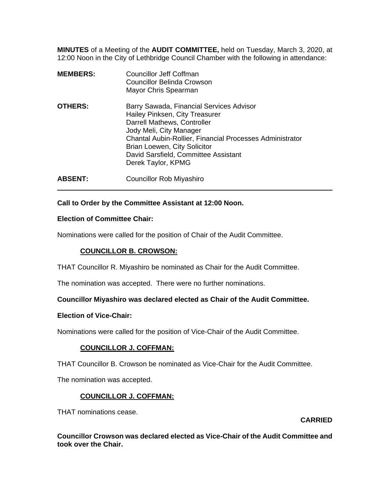**MINUTES** of a Meeting of the **AUDIT COMMITTEE,** held on Tuesday, March 3, 2020, at 12:00 Noon in the City of Lethbridge Council Chamber with the following in attendance:

| <b>MEMBERS:</b> | <b>Councillor Jeff Coffman</b><br>Councillor Belinda Crowson<br>Mayor Chris Spearman                                                                                                                                                                                                                  |
|-----------------|-------------------------------------------------------------------------------------------------------------------------------------------------------------------------------------------------------------------------------------------------------------------------------------------------------|
| <b>OTHERS:</b>  | Barry Sawada, Financial Services Advisor<br>Hailey Pinksen, City Treasurer<br>Darrell Mathews, Controller<br>Jody Meli, City Manager<br>Chantal Aubin-Rollier, Financial Processes Administrator<br><b>Brian Loewen, City Solicitor</b><br>David Sarsfield, Committee Assistant<br>Derek Taylor, KPMG |
| <b>ABSENT:</b>  | <b>Councillor Rob Miyashiro</b>                                                                                                                                                                                                                                                                       |

## **Call to Order by the Committee Assistant at 12:00 Noon.**

### **Election of Committee Chair:**

 $\overline{a}$ 

Nominations were called for the position of Chair of the Audit Committee.

### **COUNCILLOR B. CROWSON:**

THAT Councillor R. Miyashiro be nominated as Chair for the Audit Committee.

The nomination was accepted. There were no further nominations.

### **Councillor Miyashiro was declared elected as Chair of the Audit Committee.**

### **Election of Vice-Chair:**

Nominations were called for the position of Vice-Chair of the Audit Committee.

## **COUNCILLOR J. COFFMAN:**

THAT Councillor B. Crowson be nominated as Vice-Chair for the Audit Committee.

The nomination was accepted.

## **COUNCILLOR J. COFFMAN:**

THAT nominations cease.

### **CARRIED**

**Councillor Crowson was declared elected as Vice-Chair of the Audit Committee and took over the Chair.**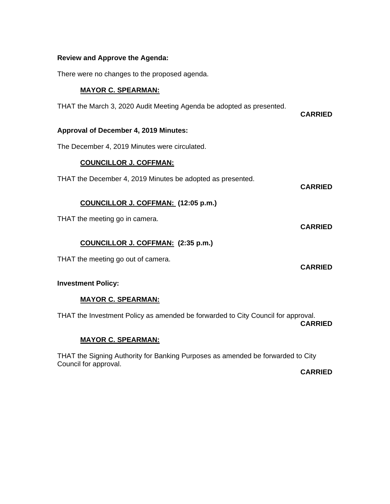## **Review and Approve the Agenda:**

There were no changes to the proposed agenda.

### **MAYOR C. SPEARMAN:**

THAT the March 3, 2020 Audit Meeting Agenda be adopted as presented.

**CARRIED** 

**CARRIED** 

**CARRIED** 

**CARRIED** 

### **Approval of December 4, 2019 Minutes:**

The December 4, 2019 Minutes were circulated.

## **COUNCILLOR J. COFFMAN:**

THAT the December 4, 2019 Minutes be adopted as presented.

**COUNCILLOR J. COFFMAN: (12:05 p.m.)** 

THAT the meeting go in camera.

## **COUNCILLOR J. COFFMAN: (2:35 p.m.)**

THAT the meeting go out of camera.

### **Investment Policy:**

## **MAYOR C. SPEARMAN:**

THAT the Investment Policy as amended be forwarded to City Council for approval. **CARRIED** 

## **MAYOR C. SPEARMAN:**

THAT the Signing Authority for Banking Purposes as amended be forwarded to City Council for approval.

**CARRIED**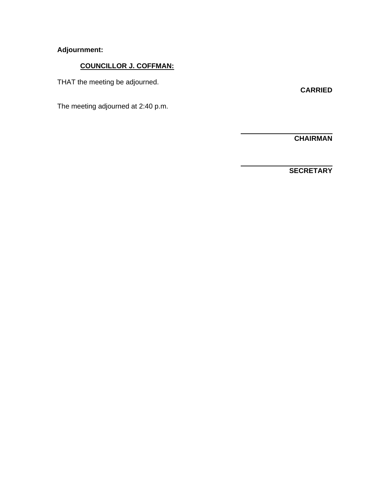# **Adjournment:**

# **COUNCILLOR J. COFFMAN:**

THAT the meeting be adjourned.

**CARRIED** 

The meeting adjourned at 2:40 p.m.

 **CHAIRMAN** 

 $\overline{a}$ 

 $\overline{a}$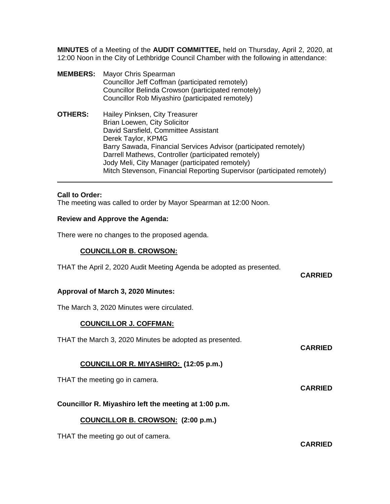**MINUTES** of a Meeting of the **AUDIT COMMITTEE,** held on Thursday, April 2, 2020, at 12:00 Noon in the City of Lethbridge Council Chamber with the following in attendance:

**MEMBERS:** Mayor Chris Spearman Councillor Jeff Coffman (participated remotely) Councillor Belinda Crowson (participated remotely) Councillor Rob Miyashiro (participated remotely) **OTHERS:** Hailey Pinksen, City Treasurer Brian Loewen, City Solicitor David Sarsfield, Committee Assistant Derek Taylor, KPMG Barry Sawada, Financial Services Advisor (participated remotely) Darrell Mathews, Controller (participated remotely) Jody Meli, City Manager (participated remotely) Mitch Stevenson, Financial Reporting Supervisor (participated remotely)

### **Call to Order:**

 $\overline{a}$ 

The meeting was called to order by Mayor Spearman at 12:00 Noon.

### **Review and Approve the Agenda:**

There were no changes to the proposed agenda.

### **COUNCILLOR B. CROWSON:**

THAT the April 2, 2020 Audit Meeting Agenda be adopted as presented.

**CARRIED** 

### **Approval of March 3, 2020 Minutes:**

The March 3, 2020 Minutes were circulated.

## **COUNCILLOR J. COFFMAN:**

THAT the March 3, 2020 Minutes be adopted as presented.

**CARRIED** 

## **COUNCILLOR R. MIYASHIRO: (12:05 p.m.)**

THAT the meeting go in camera.

**CARRIED** 

**Councillor R. Miyashiro left the meeting at 1:00 p.m.** 

### **COUNCILLOR B. CROWSON: (2:00 p.m.)**

THAT the meeting go out of camera.

**CARRIED**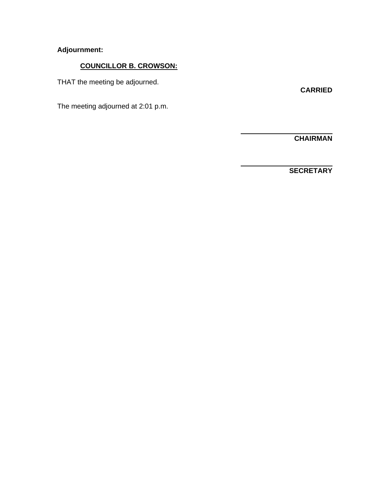# **Adjournment:**

# **COUNCILLOR B. CROWSON:**

THAT the meeting be adjourned.

**CARRIED** 

The meeting adjourned at 2:01 p.m.

 **CHAIRMAN** 

 $\overline{a}$ 

 $\overline{a}$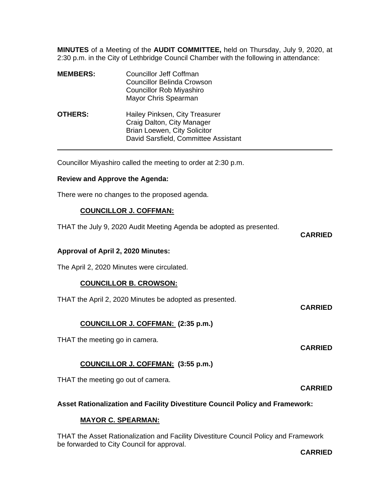**MINUTES** of a Meeting of the **AUDIT COMMITTEE,** held on Thursday, July 9, 2020, at 2:30 p.m. in the City of Lethbridge Council Chamber with the following in attendance:

| <b>MEMBERS:</b> | Councillor Jeff Coffman<br>Councillor Belinda Crowson<br><b>Councillor Rob Miyashiro</b><br>Mayor Chris Spearman                     |
|-----------------|--------------------------------------------------------------------------------------------------------------------------------------|
| <b>OTHERS:</b>  | Hailey Pinksen, City Treasurer<br>Craig Dalton, City Manager<br>Brian Loewen, City Solicitor<br>David Sarsfield, Committee Assistant |

Councillor Miyashiro called the meeting to order at 2:30 p.m.

### **Review and Approve the Agenda:**

There were no changes to the proposed agenda.

## **COUNCILLOR J. COFFMAN:**

THAT the July 9, 2020 Audit Meeting Agenda be adopted as presented.

**CARRIED** 

### **Approval of April 2, 2020 Minutes:**

The April 2, 2020 Minutes were circulated.

## **COUNCILLOR B. CROWSON:**

THAT the April 2, 2020 Minutes be adopted as presented.

**CARRIED** 

# **COUNCILLOR J. COFFMAN: (2:35 p.m.)**

THAT the meeting go in camera.

# **COUNCILLOR J. COFFMAN: (3:55 p.m.)**

THAT the meeting go out of camera.

**CARRIED** 

**CARRIED** 

## **Asset Rationalization and Facility Divestiture Council Policy and Framework:**

## **MAYOR C. SPEARMAN:**

THAT the Asset Rationalization and Facility Divestiture Council Policy and Framework be forwarded to City Council for approval.

**CARRIED**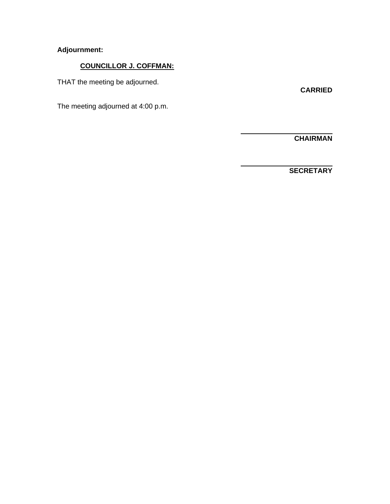# **Adjournment:**

# **COUNCILLOR J. COFFMAN:**

THAT the meeting be adjourned.

**CARRIED** 

The meeting adjourned at 4:00 p.m.

 **CHAIRMAN** 

 $\overline{a}$ 

 $\overline{a}$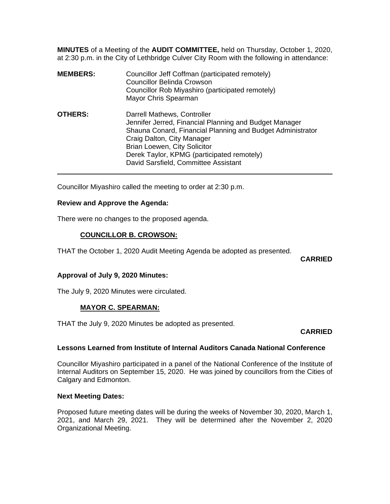**MINUTES** of a Meeting of the **AUDIT COMMITTEE,** held on Thursday, October 1, 2020, at 2:30 p.m. in the City of Lethbridge Culver City Room with the following in attendance:

| <b>MEMBERS:</b> | Councillor Jeff Coffman (participated remotely)<br><b>Councillor Belinda Crowson</b><br>Councillor Rob Miyashiro (participated remotely)<br>Mayor Chris Spearman                                                                                                                                        |
|-----------------|---------------------------------------------------------------------------------------------------------------------------------------------------------------------------------------------------------------------------------------------------------------------------------------------------------|
| <b>OTHERS:</b>  | Darrell Mathews, Controller<br>Jennifer Jerred, Financial Planning and Budget Manager<br>Shauna Conard, Financial Planning and Budget Administrator<br>Craig Dalton, City Manager<br>Brian Loewen, City Solicitor<br>Derek Taylor, KPMG (participated remotely)<br>David Sarsfield, Committee Assistant |

Councillor Miyashiro called the meeting to order at 2:30 p.m.

### **Review and Approve the Agenda:**

There were no changes to the proposed agenda.

### **COUNCILLOR B. CROWSON:**

THAT the October 1, 2020 Audit Meeting Agenda be adopted as presented.

**CARRIED** 

### **Approval of July 9, 2020 Minutes:**

The July 9, 2020 Minutes were circulated.

## **MAYOR C. SPEARMAN:**

THAT the July 9, 2020 Minutes be adopted as presented.

**CARRIED** 

### **Lessons Learned from Institute of Internal Auditors Canada National Conference**

Councillor Miyashiro participated in a panel of the National Conference of the Institute of Internal Auditors on September 15, 2020. He was joined by councillors from the Cities of Calgary and Edmonton.

### **Next Meeting Dates:**

Proposed future meeting dates will be during the weeks of November 30, 2020, March 1, 2021, and March 29, 2021. They will be determined after the November 2, 2020 Organizational Meeting.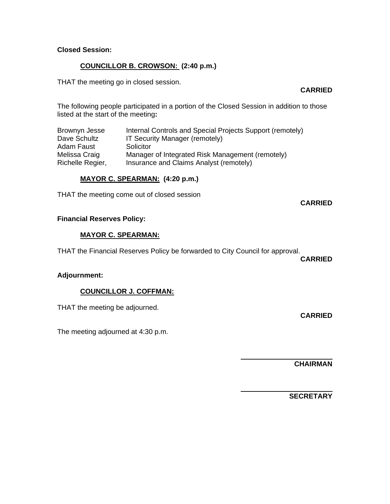# **Closed Session:**

## **COUNCILLOR B. CROWSON: (2:40 p.m.)**

THAT the meeting go in closed session.

### **CARRIED**

The following people participated in a portion of the Closed Session in addition to those listed at the start of the meeting**:** 

| Brownyn Jesse    | Internal Controls and Special Projects Support (remotely) |
|------------------|-----------------------------------------------------------|
| Dave Schultz     | IT Security Manager (remotely)                            |
| Adam Faust       | Solicitor                                                 |
| Melissa Craig    | Manager of Integrated Risk Management (remotely)          |
| Richelle Regier, | Insurance and Claims Analyst (remotely)                   |

## **MAYOR C. SPEARMAN: (4:20 p.m.)**

THAT the meeting come out of closed session

### **CARRIED**

## **Financial Reserves Policy:**

### **MAYOR C. SPEARMAN:**

THAT the Financial Reserves Policy be forwarded to City Council for approval.

**CARRIED** 

**CARRIED** 

### **Adjournment:**

## **COUNCILLOR J. COFFMAN:**

THAT the meeting be adjourned.

The meeting adjourned at 4:30 p.m.

 **CHAIRMAN** 

 $\overline{a}$ 

 $\overline{a}$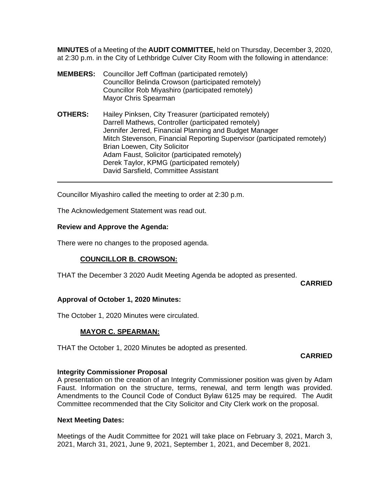**MINUTES** of a Meeting of the **AUDIT COMMITTEE,** held on Thursday, December 3, 2020, at 2:30 p.m. in the City of Lethbridge Culver City Room with the following in attendance:

- **MEMBERS:** Councillor Jeff Coffman (participated remotely) Councillor Belinda Crowson (participated remotely) Councillor Rob Miyashiro (participated remotely) Mayor Chris Spearman
- **OTHERS:** Hailey Pinksen, City Treasurer (participated remotely) Darrell Mathews, Controller (participated remotely) Jennifer Jerred, Financial Planning and Budget Manager Mitch Stevenson, Financial Reporting Supervisor (participated remotely) Brian Loewen, City Solicitor Adam Faust, Solicitor (participated remotely) Derek Taylor, KPMG (participated remotely) David Sarsfield, Committee Assistant

Councillor Miyashiro called the meeting to order at 2:30 p.m.

The Acknowledgement Statement was read out.

### **Review and Approve the Agenda:**

 $\overline{a}$ 

There were no changes to the proposed agenda.

## **COUNCILLOR B. CROWSON:**

THAT the December 3 2020 Audit Meeting Agenda be adopted as presented.

**CARRIED** 

## **Approval of October 1, 2020 Minutes:**

The October 1, 2020 Minutes were circulated.

## **MAYOR C. SPEARMAN:**

THAT the October 1, 2020 Minutes be adopted as presented.

### **CARRIED**

### **Integrity Commissioner Proposal**

A presentation on the creation of an Integrity Commissioner position was given by Adam Faust. Information on the structure, terms, renewal, and term length was provided. Amendments to the Council Code of Conduct Bylaw 6125 may be required. The Audit Committee recommended that the City Solicitor and City Clerk work on the proposal.

### **Next Meeting Dates:**

Meetings of the Audit Committee for 2021 will take place on February 3, 2021, March 3, 2021, March 31, 2021, June 9, 2021, September 1, 2021, and December 8, 2021.